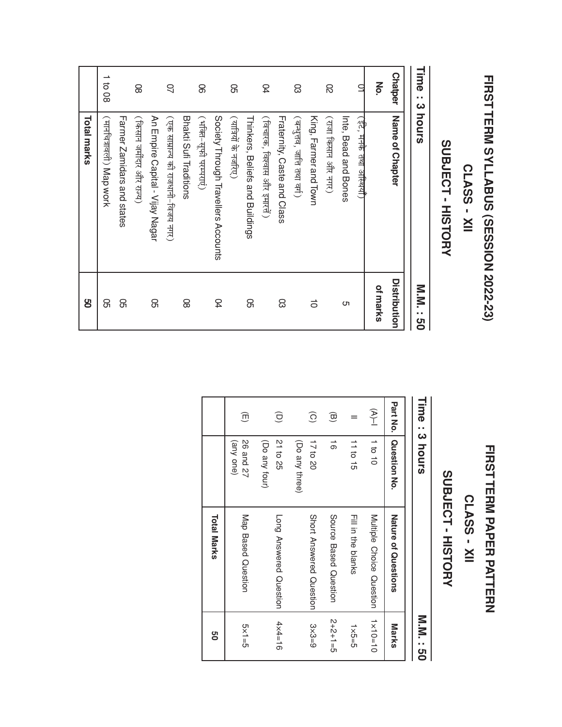# **FIRST** TERM<br>M SYLLABUS (SESSION 2022-23)

#### CLASS -  $\bf \geq$

## SUBJECT SUBJECT - HISTORY HISTORY

Time :

ယ

hours

M.N.N. : 50

|             | 1 to 08                   |                            | 8                        |                                 | S                                  |                        | 8                      |                                     | ଌ                    |                                 | 5                            |                             | සි                       |                       | 8                  |                      | 잌                         | No.      | <b>Chatper</b>  |
|-------------|---------------------------|----------------------------|--------------------------|---------------------------------|------------------------------------|------------------------|------------------------|-------------------------------------|----------------------|---------------------------------|------------------------------|-----------------------------|--------------------------|-----------------------|--------------------|----------------------|---------------------------|----------|-----------------|
| Total marks | (मार्नाचत्रावली) Map work | Farmer Zamidars and states | (किसान जमींदार और राज्य) | An Empire Capital - Vijay Nagar | (एक साम्राज्य की राजधानी-विजय नगर) | Bhakti Sufi Traditions | (भक्ति-सूफी परम्पराएं) | Society Through Travellers Accounts | (यात्रियों के नजरिए) | Thinkers, Beliefs and Buildings | (विचारक, विश्वास और इमारतें) | Fraternity, Caste and Class | (बन्धुतव, जाति तथा वर्ग) | King, Farmer and Town | (राज किसान और नगर) | Inte, Bead and Bones | (इंटे, मनके तथा अस्थियाँ) |          | Name of Chapter |
| ႘ၟ          | ၛၟ                        | 8                          |                          | ၛၟ                              |                                    | 8                      |                        | 54                                  |                      | 8                               |                              | 8                           |                          | 5                     |                    | c                    |                           | of marks | Distribution    |

## **FIRST** TERM<br>M P<br>PAPER PATTERN

### CLASS -  $\bf \geq$

## SUBJECT SUBJECT - HISTORY HISTORY

| Time:3 hours           |                               |                          | M:N<br><br>မ       |
|------------------------|-------------------------------|--------------------------|--------------------|
| Part No.               | Question No.                  | Nature of Questions      | <b>Marks</b>       |
| $\sum_{i=1}^{n}$       | 10101                         | Multiple Choice Question | $1 \times 10 = 10$ |
|                        | 11 to 15                      | Fill in the blanks       | $5-5\times1$       |
| $\widehat{\mathbf{G}}$ | $\vec{0}$                     | Source Based Question    | $2+2+1=5$          |
| $\widehat{O}$          | (Do any three)<br>17 to 20    | Short Answered Question  | $3 × 3 = 9$        |
| $\widehat{\mathbf{C}}$ | 21 to 25<br>(Do any four)     | Long Answered Question   | $4x4 = 16$         |
| $\widehat{\mathbb{D}}$ | <b>26 and 27</b><br>(any one) | Map Based Question       | $5\times1=5$       |
|                        |                               | <b>Total Marks</b>       | 9g                 |